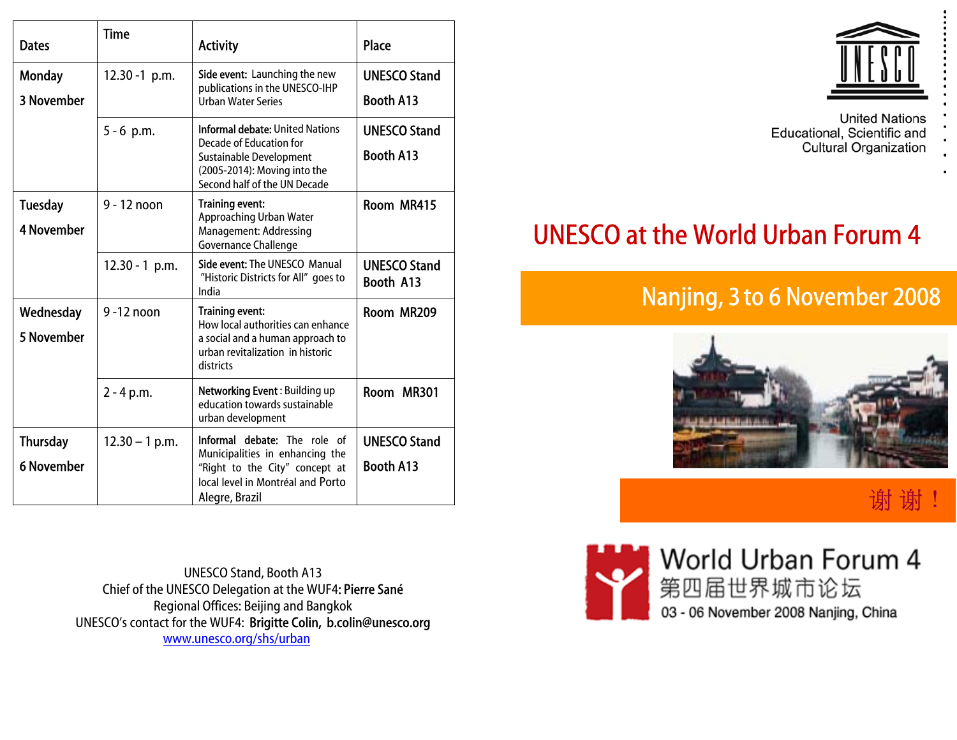| <b>Dates</b>                         | <b>Time</b>      | <b>Activity</b>                                                                                                                                                 | Place                                   |
|--------------------------------------|------------------|-----------------------------------------------------------------------------------------------------------------------------------------------------------------|-----------------------------------------|
| <b>Monday</b><br>3 November          | $12.30 - 1$ p.m. | Side event: Launching the new<br>publications in the UNESCO-IHP<br><b>Urban Water Series</b>                                                                    | <b>UNESCO Stand</b><br><b>Booth A13</b> |
|                                      | $5 - 6$ p.m.     | <b>Informal debate: United Nations</b><br>Decade of Education for<br>Sustainable Development<br>(2005-2014): Moving into the<br>Second half of the UN Decade    | <b>UNESCO Stand</b><br><b>Booth A13</b> |
| <b>Tuesday</b><br><b>4 November</b>  | 9 - 12 noon      | <b>Training event:</b><br>Approaching Urban Water<br><b>Management: Addressing</b><br>Governance Challenge                                                      | Room MR415                              |
|                                      | $12.30 - 1$ p.m. | <b>Side event: The UNESCO Manual</b><br>"Historic Districts for All" goes to<br>India                                                                           | <b>UNESCO Stand</b><br>Booth A13        |
| Wednesday<br>5 November              | $9 - 12$ noon    | Training event:<br>How local authorities can enhance<br>a social and a human approach to<br>urban revitalization in historic<br>districts                       | Room MR209                              |
|                                      | $2 - 4 p.m.$     | Networking Event: Building up<br>education towards sustainable<br>urban development                                                                             | Room MR301                              |
| <b>Thursday</b><br><b>6 November</b> | $12.30 - 1$ p.m. | <b>Informal debate:</b> The role of<br>Municipalities in enhancing the<br>"Right to the City" concept at<br>local level in Montréal and Porto<br>Alegre, Brazil | <b>UNESCO Stand</b><br>Booth A13        |

UNESCO Stand, Booth A13 Chief of the UNESCO Delegation at the WUF4: Pierre Sané Regional Offices: Beijing and Bangkok UNESCO's contact for the WUF4: Brigitte Colin, [b.colin@unesco.org](mailto:b.colin@unesco.org) [www.unesco.org/shs/urban](http://www.unesco.org/shs/urban)



**United Nations** Educational, Scientific and **Cultural Organization** 

# UNESCO at the World Urban Forum 4

# Nanjing, 3 to 6 November 2008



谢 谢

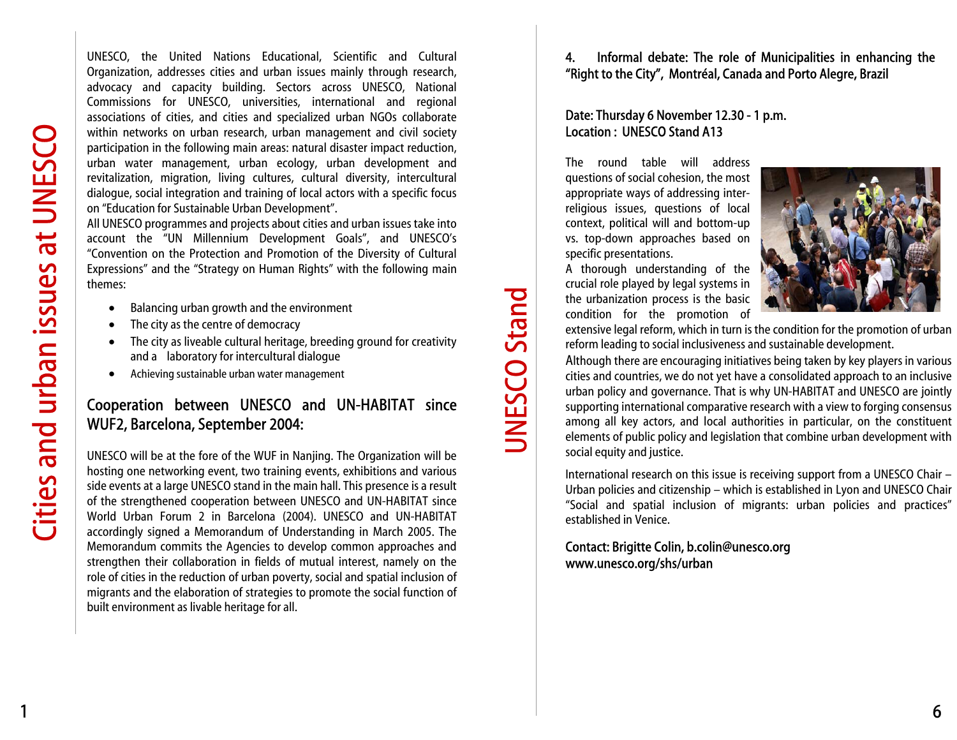UNESCO, the United Nations Educational, Scientific and Cultural Organization, addresses cities and urban issues mainly through research, advocacy and capacity building. Sectors across UNESCO, National Commissions for UNESCO, universities, international and regional associations of cities, and cities and specialized urban NGOs collaborate within networks on urban research, urban management and civil society participation in the following main areas: natural disaster impact reduction, urban water management, urban ecology, urban development and revitalization, migration, living cultures, cultural diversity, intercultural dialogue, social integration and training of local actors with a specific focus on "Education for Sustainable Urban Development".

All UNESCO programmes and projects about cities and urban issues take into account the "UN Millennium Development Goals", and UNESCO's "Convention on the Protection and Promotion of the Diversity of Cultural Expressions" and the "Strategy on Human Rights" with the following main themes:

- •Balancing urban growth and the environment
- •The city as the centre of democracy
- • The city as liveable cultural heritage, breeding ground for creativity and a laboratory for intercultural dialogue
- •Achieving sustainable urban water management

# Cooperation between UNESCO and UN-HABITAT since WUF2, Barcelona, September 2004:

UNESCO will be at the fore of the WUF in Nanjing. The Organization will be hosting one networking event, two training events, exhibitions and various side events at a large UNESCO stand in the main hall. This presence is a result of the strengthened cooperation between UNESCO and U N-HABITAT since World Urban Forum 2 in Barcelona (2004). UNESCO and UN-HABITAT accordingly signed a Memorandum of Understanding in March 2005. The Memorandum commits the Agencies to develop common approaches and strengthen their collaboration in fields of mutual interest, namely on the role of cities in the reduction of urban poverty, social and spatial inclusion of migrants and the elaboration of strategies to promote the social function of built environment as livable heritage for all.

### 4. Informal debate: The role of Municipalities in enhancing the "Right to the City", Montréal, Canada and Porto Alegre, Brazil

#### Date: Thursday 6 November 12.30 - 1 p.m. Location : UNESCO Stand A13

The round table will address questions of social cohesion, the most appropriate ways of addressing interreligious issues, questions of local context, political will and bottom-up vs. top-down approaches based on specific presentations.



UNESCO Stand

**JNESCO Stand** 



extensive legal reform, which in turn is the condition for the promotion of urban reform leading to social inclusiveness and sustainable development.

Although there are encouraging initiatives being taken by key players in various cities and countries, we do not yet have a consolidated approach to an inclusive urban policy and governance. That is why U N-HABITAT and UNESCO are jointly supporting international comparative research with a view to forging consensus among all key actors, and local authorities in particular, on the constituent elements of public policy and legislation that combine urban development with social equity and justice.

International research on this issue is receiving support fro m a UNESCO Chair –Urban policies and citizenship – which is established in Lyon and UNESCO Chair "Social and spatial inclusion of migrants: urban policies and practices" established in Venice.

#### Contact: Brigitte Colin, b.colin@unesco.org www.unesco.org/shs/urban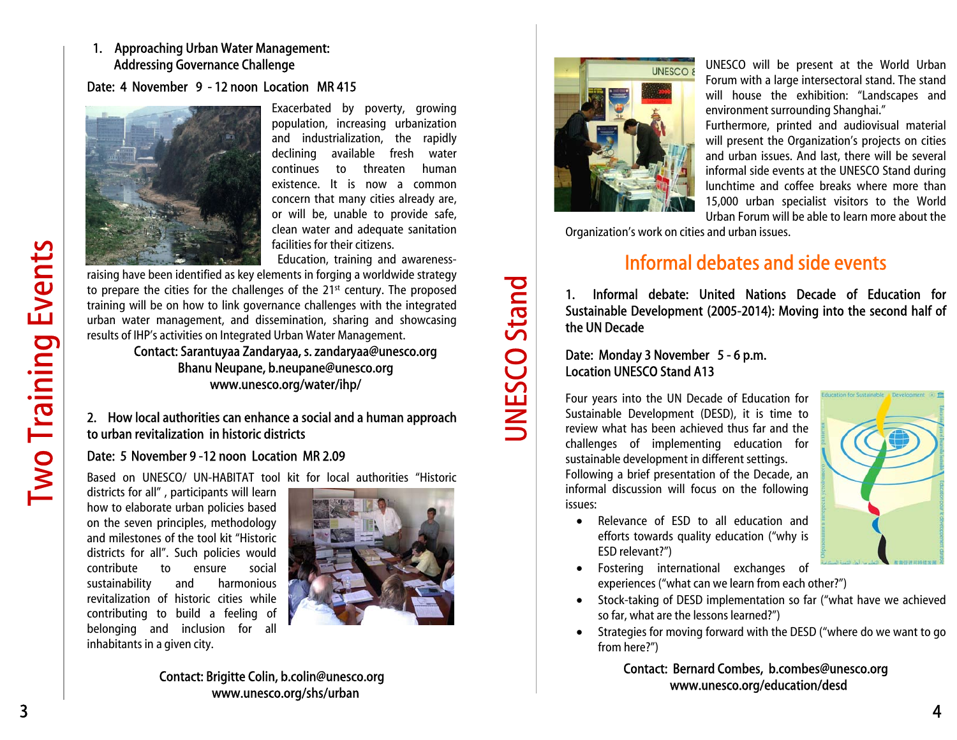#### 1. Approaching Urban Water Management: Addressing Governance Challenge

#### Date: 4 Nove mber 9 - 12 noon Location MR 415



Exacerbated by poverty, growing population, increasing urbanization and industrialization, the rapidly declining available fresh water continues to threaten humanexistence. It is now a common concern that many cities already are, or will be, unable to provide safe, clean water and adequate sanitation facilities for their citizens.

Education, training and awareness-

raising have been identified as key elements in forging a worldwide strategy to prepare the cities for the challenges of the 21<sup>st</sup> century. The proposed training will be on how to link governance challenges with the integrated urban water management, and dissemination, sharing and showcasing results of IHP's activities on Integrated Urban Water Management.

Contact: Sarantuyaa Zandaryaa, s. zandaryaa@unesco.org Bhanu Neupane, b.neupane@unesco.org www.unesco.org/water/ihp/

#### 2. H o w local authorities can enhance a social and a human approach to urban revitalization in historic districts

#### Date: 5 November 9 -12 noon Location MR 2.09

Based on UNESCO/ UN-HABITAT tool kit for local authorities "Historic

districts for all" , participants will learn how to elaborate urban policies based on the seven principles, methodology and milestones of the tool kit "Historicdistricts for all". Such policies would contribute to ensure social sustainability and harmonious revitalization of historic cities while contributing to build a feeling of belonging and inclusion for all inhabitants in a given city.



Contact: Brigitte Colin, b.colin@unesco.org www.unesco.org/shs/urban



UNESCO Stand

**JNESCO Stand** 

UNESCO will be present at the World Urban Forum with a large intersectoral stand. The stand will house the exhibition: "Landscapes and environment surrounding Shanghai."

Furthermore, printed and audiovisual material will present the Organization's projects on cities and urban issues. And last, there will be several informal side events at the UNESCO Stand during lunchtime and coffee breaks where more than 15,000 urban specialist visitors to the World Urban Forum will be able to learn more about the

Organization's work on cities and urban issues.

# Informal debates and side events

1. Informal debate: United Nations Decade of Education for Sustainable D evelopment (2005-2014): Moving into the second half of the UN Decade

#### Date: Monday 3 November 5 - 6 p.m. Location UNESCO Stand A13

Four years into the U N Decade of Education for Sustainable Development (DESD), it is time to review what has been achieved thus far and the challenges of implementing education for sustainable development in different settings. Following a brief presentation of the Decade, an informal discussion will focus on the following issues:



- Relevance of ESD to all education andefforts towards quality education ("why is ESD relevant?")
- Fostering international exchanges of experiences ("what can we learn from each other?")
- • Stock-taking of DESD implementation so far ("what have we achieved so far, what are the lessons learned?")
- • Strategies for moving forward with the DES D ("where do we want to go from here?")

Contact: Bernard Combes, b.combes@unesco.org www.unesco.org/education/desd